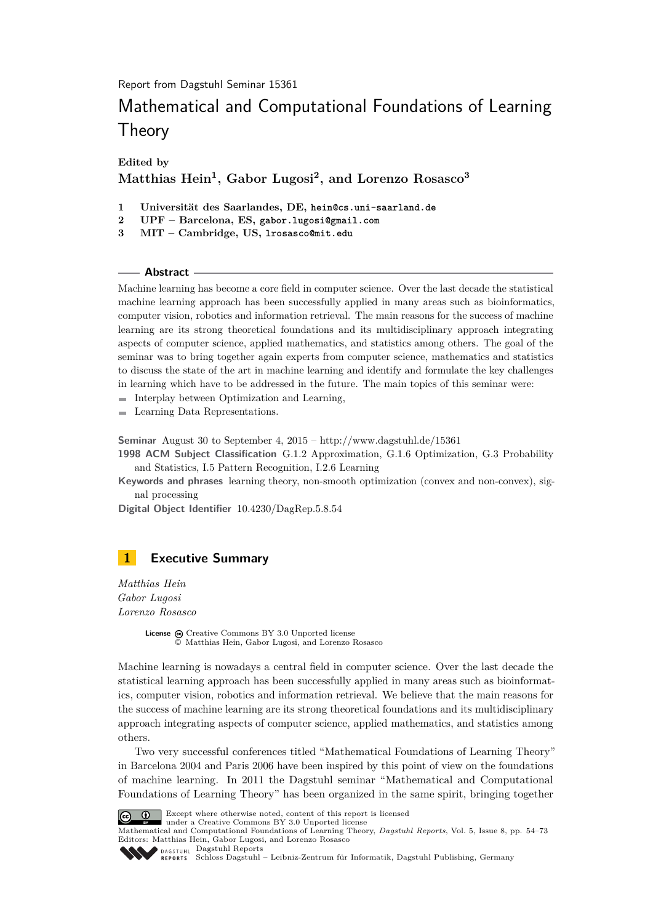Report from Dagstuhl Seminar 15361

# Mathematical and Computational Foundations of Learning **Theory**

**Edited by**

### **Matthias Hein<sup>1</sup> , Gabor Lugosi<sup>2</sup> , and Lorenzo Rosasco<sup>3</sup>**

- **1 Universität des Saarlandes, DE, hein@cs.uni-saarland.de**
- **2 UPF Barcelona, ES, gabor.lugosi@gmail.com**
- **3 MIT Cambridge, US, lrosasco@mit.edu**

### **Abstract**

Machine learning has become a core field in computer science. Over the last decade the statistical machine learning approach has been successfully applied in many areas such as bioinformatics, computer vision, robotics and information retrieval. The main reasons for the success of machine learning are its strong theoretical foundations and its multidisciplinary approach integrating aspects of computer science, applied mathematics, and statistics among others. The goal of the seminar was to bring together again experts from computer science, mathematics and statistics to discuss the state of the art in machine learning and identify and formulate the key challenges in learning which have to be addressed in the future. The main topics of this seminar were:

- $\blacksquare$  Interplay between Optimization and Learning,
- **Learning Data Representations.**

**Seminar** August 30 to September 4, 2015 –<http://www.dagstuhl.de/15361>

**1998 ACM Subject Classification** G.1.2 Approximation, G.1.6 Optimization, G.3 Probability and Statistics, I.5 Pattern Recognition, I.2.6 Learning

**Keywords and phrases** learning theory, non-smooth optimization (convex and non-convex), signal processing

**Digital Object Identifier** [10.4230/DagRep.5.8.54](http://dx.doi.org/10.4230/DagRep.5.8.54)

### <span id="page-0-0"></span>**1 Executive Summary**

*Matthias Hein Gabor Lugosi Lorenzo Rosasco*

> License  $\textcircled{c}$  [Creative Commons BY 3.0 Unported](http://creativecommons.org/licenses/by/3.0/) license © [Matthias Hein, Gabor Lugosi, and Lorenzo Rosasco](#page-0-0)

Machine learning is nowadays a central field in computer science. Over the last decade the statistical learning approach has been successfully applied in many areas such as bioinformatics, computer vision, robotics and information retrieval. We believe that the main reasons for the success of machine learning are its strong theoretical foundations and its multidisciplinary approach integrating aspects of computer science, applied mathematics, and statistics among others.

Two very successful conferences titled "Mathematical Foundations of Learning Theory" in Barcelona 2004 and Paris 2006 have been inspired by this point of view on the foundations of machine learning. In 2011 the Dagstuhl seminar "Mathematical and Computational Foundations of Learning Theory" has been organized in the same spirit, bringing together



Except where otherwise noted, content of this report is licensed under a [Creative Commons BY 3.0 Unported](http://creativecommons.org/licenses/by/3.0/) license

Mathematical and Computational Foundations of Learning Theory, *Dagstuhl Reports*, Vol. 5, Issue 8, pp. 54[–73](#page-19-0) Editors: Matthias Hein, Gabor Lugosi, and Lorenzo Rosasco **DAGSTUHL [Dagstuhl Reports](http://www.dagstuhl.de/dagstuhl-reports/)** 



[Schloss Dagstuhl – Leibniz-Zentrum für Informatik, Dagstuhl Publishing, Germany](http://www.dagstuhl.de)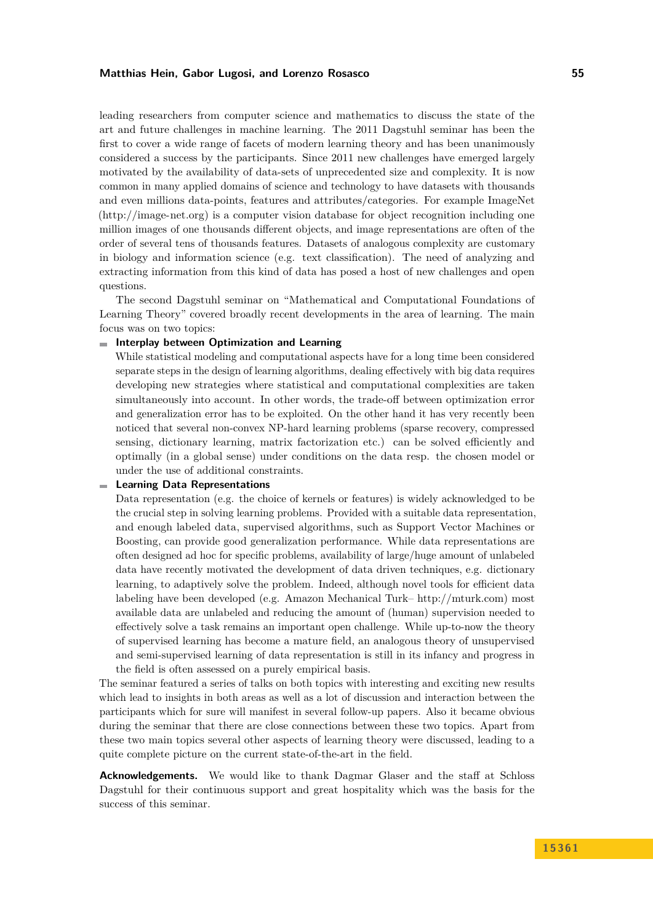leading researchers from computer science and mathematics to discuss the state of the art and future challenges in machine learning. The 2011 Dagstuhl seminar has been the first to cover a wide range of facets of modern learning theory and has been unanimously considered a success by the participants. Since 2011 new challenges have emerged largely motivated by the availability of data-sets of unprecedented size and complexity. It is now common in many applied domains of science and technology to have datasets with thousands and even millions data-points, features and attributes/categories. For example ImageNet [\(http://image-net.org\)](http://image-net.org) is a computer vision database for object recognition including one million images of one thousands different objects, and image representations are often of the order of several tens of thousands features. Datasets of analogous complexity are customary in biology and information science (e.g. text classification). The need of analyzing and extracting information from this kind of data has posed a host of new challenges and open questions.

The second Dagstuhl seminar on "Mathematical and Computational Foundations of Learning Theory" covered broadly recent developments in the area of learning. The main focus was on two topics:

#### **Interplay between Optimization and Learning**

While statistical modeling and computational aspects have for a long time been considered separate steps in the design of learning algorithms, dealing effectively with big data requires developing new strategies where statistical and computational complexities are taken simultaneously into account. In other words, the trade-off between optimization error and generalization error has to be exploited. On the other hand it has very recently been noticed that several non-convex NP-hard learning problems (sparse recovery, compressed sensing, dictionary learning, matrix factorization etc.) can be solved efficiently and optimally (in a global sense) under conditions on the data resp. the chosen model or under the use of additional constraints.

#### $\blacksquare$ **Learning Data Representations**

Data representation (e.g. the choice of kernels or features) is widely acknowledged to be the crucial step in solving learning problems. Provided with a suitable data representation, and enough labeled data, supervised algorithms, such as Support Vector Machines or Boosting, can provide good generalization performance. While data representations are often designed ad hoc for specific problems, availability of large/huge amount of unlabeled data have recently motivated the development of data driven techniques, e.g. dictionary learning, to adaptively solve the problem. Indeed, although novel tools for efficient data labeling have been developed (e.g. Amazon Mechanical Turk– [http://mturk.com\)](http://mturk.com) most available data are unlabeled and reducing the amount of (human) supervision needed to effectively solve a task remains an important open challenge. While up-to-now the theory of supervised learning has become a mature field, an analogous theory of unsupervised and semi-supervised learning of data representation is still in its infancy and progress in the field is often assessed on a purely empirical basis.

The seminar featured a series of talks on both topics with interesting and exciting new results which lead to insights in both areas as well as a lot of discussion and interaction between the participants which for sure will manifest in several follow-up papers. Also it became obvious during the seminar that there are close connections between these two topics. Apart from these two main topics several other aspects of learning theory were discussed, leading to a quite complete picture on the current state-of-the-art in the field.

**Acknowledgements.** We would like to thank Dagmar Glaser and the staff at Schloss Dagstuhl for their continuous support and great hospitality which was the basis for the success of this seminar.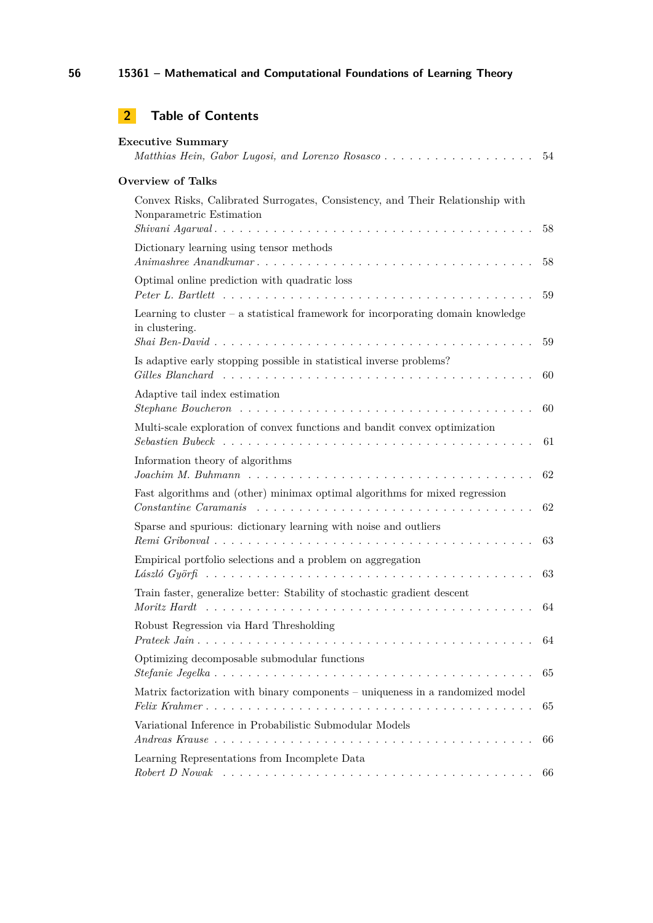## **2 Table of Contents**

| <b>Executive Summary</b><br>Matthias Hein, Gabor Lugosi, and Lorenzo Rosasco                                                                                                                                                |          |  |
|-----------------------------------------------------------------------------------------------------------------------------------------------------------------------------------------------------------------------------|----------|--|
| <b>Overview of Talks</b>                                                                                                                                                                                                    |          |  |
| Convex Risks, Calibrated Surrogates, Consistency, and Their Relationship with<br>Nonparametric Estimation                                                                                                                   | 58       |  |
| Dictionary learning using tensor methods                                                                                                                                                                                    | 58       |  |
| Optimal online prediction with quadratic loss                                                                                                                                                                               | 59       |  |
| Learning to cluster $-$ a statistical framework for incorporating domain knowledge<br>in clustering.                                                                                                                        |          |  |
| Is adaptive early stopping possible in statistical inverse problems?                                                                                                                                                        | 59<br>60 |  |
| Adaptive tail index estimation                                                                                                                                                                                              | 60       |  |
| Multi-scale exploration of convex functions and bandit convex optimization                                                                                                                                                  | 61       |  |
| Information theory of algorithms                                                                                                                                                                                            | 62       |  |
| Fast algorithms and (other) minimax optimal algorithms for mixed regression                                                                                                                                                 | 62       |  |
| Sparse and spurious: dictionary learning with noise and outliers                                                                                                                                                            | 63       |  |
| Empirical portfolio selections and a problem on aggregation                                                                                                                                                                 | 63       |  |
| Train faster, generalize better: Stability of stochastic gradient descent<br>$Moritz$ $Hardt$ $\ldots$ $\ldots$ $\ldots$ $\ldots$ $\ldots$ $\ldots$ $\ldots$ $\ldots$ $\ldots$ $\ldots$ $\ldots$ $\ldots$ $\ldots$ $\ldots$ | 64       |  |
| Robust Regression via Hard Thresholding                                                                                                                                                                                     | 64       |  |
| Optimizing decomposable submodular functions                                                                                                                                                                                | 65       |  |
| Matrix factorization with binary components – uniqueness in a randomized model                                                                                                                                              | 65       |  |
| Variational Inference in Probabilistic Submodular Models                                                                                                                                                                    | 66       |  |
| Learning Representations from Incomplete Data                                                                                                                                                                               | 66       |  |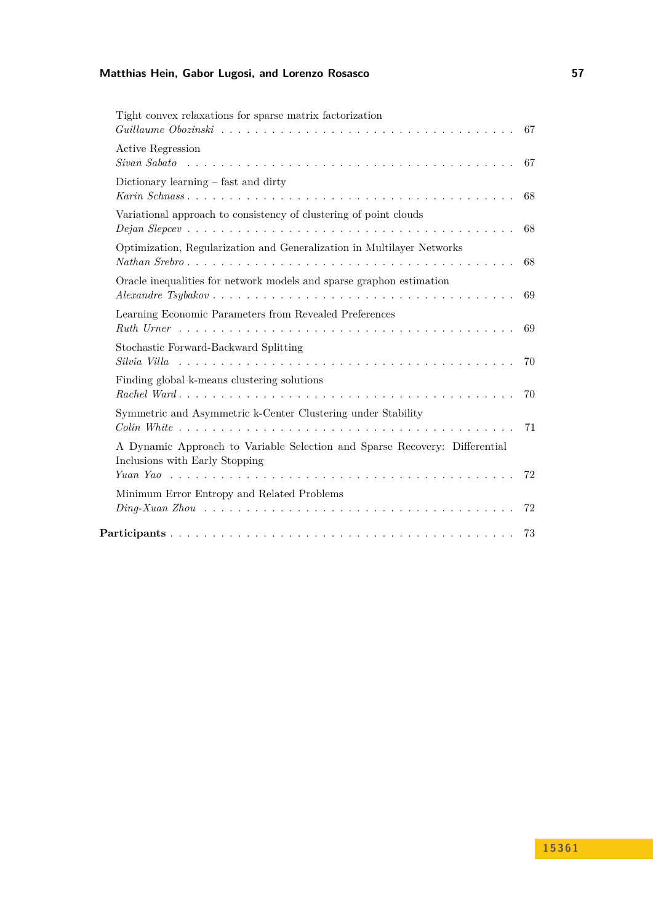| Tight convex relaxations for sparse matrix factorization<br>Guillaume Obozinski radioaceae radioaceae radioaceae radioaceae radioaceae radioaceae radioaceae radioaceae r | 67  |
|---------------------------------------------------------------------------------------------------------------------------------------------------------------------------|-----|
| <b>Active Regression</b>                                                                                                                                                  |     |
| Dictionary learning $-$ fast and dirty                                                                                                                                    | 68  |
| Variational approach to consistency of clustering of point clouds<br>$Dejan \nSlope$                                                                                      | 68  |
| Optimization, Regularization and Generalization in Multilayer Networks                                                                                                    | 68  |
| Oracle inequalities for network models and sparse graphon estimation                                                                                                      | 69  |
| Learning Economic Parameters from Revealed Preferences                                                                                                                    | 69  |
| Stochastic Forward-Backward Splitting                                                                                                                                     | 70  |
| Finding global k-means clustering solutions                                                                                                                               | 70  |
| Symmetric and Asymmetric k-Center Clustering under Stability                                                                                                              | 71  |
| A Dynamic Approach to Variable Selection and Sparse Recovery: Differential<br>Inclusions with Early Stopping                                                              |     |
| Minimum Error Entropy and Related Problems                                                                                                                                | -72 |
|                                                                                                                                                                           | 72  |
|                                                                                                                                                                           | 73  |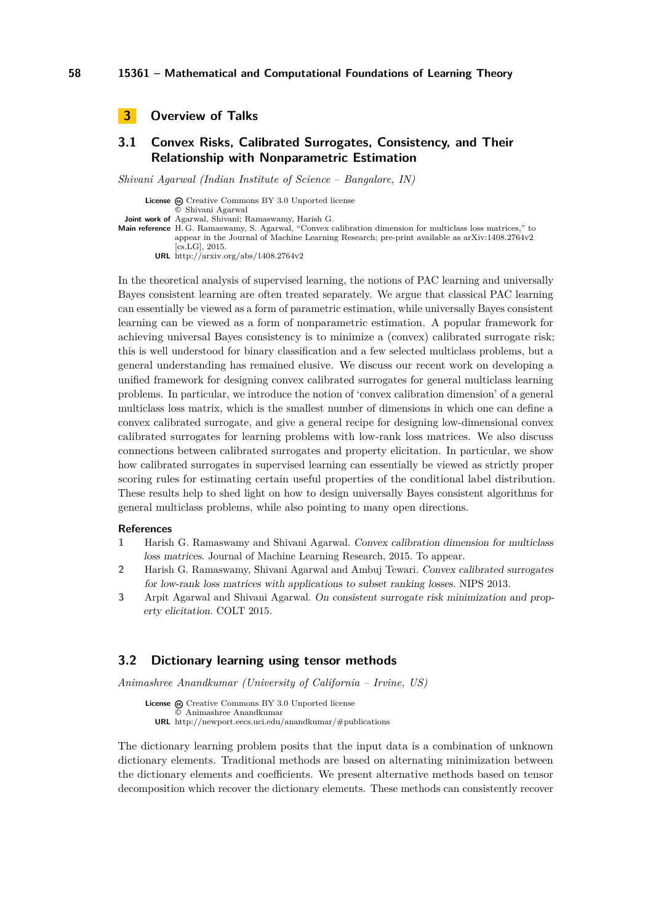```
3 Overview of Talks
```
### <span id="page-4-1"></span>**3.1 Convex Risks, Calibrated Surrogates, Consistency, and Their Relationship with Nonparametric Estimation**

*Shivani Agarwal (Indian Institute of Science – Bangalore, IN)*

**License**  $\omega$  [Creative Commons BY 3.0 Unported](http://creativecommons.org/licenses/by/3.0/) license © [Shivani Agarwal](#page-4-1) **Joint work of** Agarwal, Shivani; Ramaswamy, Harish G. **Main reference** [H. G. Ramaswamy, S. Agarwal, "Convex calibration dimension for multiclass loss matrices," to](http://arxiv.org/abs/1408.2764v2) [appear in the Journal of Machine Learning Research; pre-print available as arXiv:1408.2764v2](http://arxiv.org/abs/1408.2764v2) [\[cs.LG\], 2015.](http://arxiv.org/abs/1408.2764v2)

**URL** <http://arxiv.org/abs/1408.2764v2>

In the theoretical analysis of supervised learning, the notions of PAC learning and universally Bayes consistent learning are often treated separately. We argue that classical PAC learning can essentially be viewed as a form of parametric estimation, while universally Bayes consistent learning can be viewed as a form of nonparametric estimation. A popular framework for achieving universal Bayes consistency is to minimize a (convex) calibrated surrogate risk; this is well understood for binary classification and a few selected multiclass problems, but a general understanding has remained elusive. We discuss our recent work on developing a unified framework for designing convex calibrated surrogates for general multiclass learning problems. In particular, we introduce the notion of 'convex calibration dimension' of a general multiclass loss matrix, which is the smallest number of dimensions in which one can define a convex calibrated surrogate, and give a general recipe for designing low-dimensional convex calibrated surrogates for learning problems with low-rank loss matrices. We also discuss connections between calibrated surrogates and property elicitation. In particular, we show how calibrated surrogates in supervised learning can essentially be viewed as strictly proper scoring rules for estimating certain useful properties of the conditional label distribution. These results help to shed light on how to design universally Bayes consistent algorithms for general multiclass problems, while also pointing to many open directions.

#### **References**

- **1** Harish G. Ramaswamy and Shivani Agarwal. Convex calibration dimension for multiclass loss matrices. Journal of Machine Learning Research, 2015. To appear.
- **2** Harish G. Ramaswamy, Shivani Agarwal and Ambuj Tewari. Convex calibrated surrogates for low-rank loss matrices with applications to subset ranking losses. NIPS 2013.
- **3** Arpit Agarwal and Shivani Agarwal. On consistent surrogate risk minimization and property elicitation. COLT 2015.

### <span id="page-4-2"></span>**3.2 Dictionary learning using tensor methods**

*Animashree Anandkumar (University of California – Irvine, US)*

License  $\textcircled{c}$  [Creative Commons BY 3.0 Unported](http://creativecommons.org/licenses/by/3.0/) license © [Animashree Anandkumar](#page-4-2) **URL** <http://newport.eecs.uci.edu/anandkumar/#publications>

The dictionary learning problem posits that the input data is a combination of unknown dictionary elements. Traditional methods are based on alternating minimization between the dictionary elements and coefficients. We present alternative methods based on tensor decomposition which recover the dictionary elements. These methods can consistently recover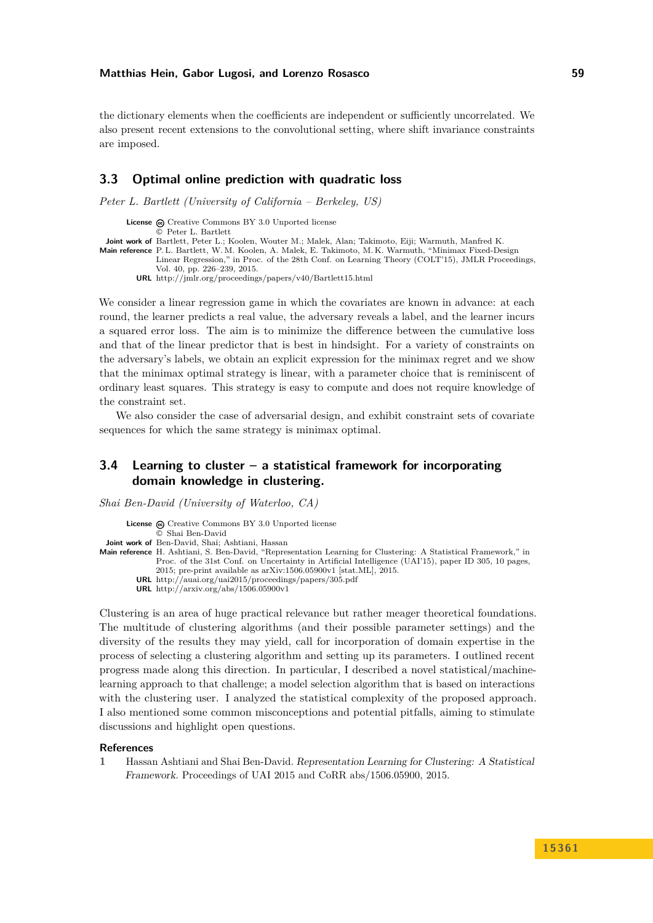the dictionary elements when the coefficients are independent or sufficiently uncorrelated. We also present recent extensions to the convolutional setting, where shift invariance constraints are imposed.

### <span id="page-5-0"></span>**3.3 Optimal online prediction with quadratic loss**

*Peter L. Bartlett (University of California – Berkeley, US)*

License  $\odot$  [Creative Commons BY 3.0 Unported](http://creativecommons.org/licenses/by/3.0/) license © [Peter L. Bartlett](#page-5-0)

**Joint work of** Bartlett, Peter L.; Koolen, Wouter M.; Malek, Alan; Takimoto, Eiji; Warmuth, Manfred K.

**Main reference** [P. L. Bartlett, W. M. Koolen, A. Malek, E. Takimoto, M. K. Warmuth, "Minimax Fixed-Design](http://jmlr.org/proceedings/papers/v40/Bartlett15.html)

[Linear Regression," in Proc. of the 28th Conf. on Learning Theory \(COLT'15\), JMLR Proceedings,](http://jmlr.org/proceedings/papers/v40/Bartlett15.html) [Vol. 40, pp. 226–239, 2015.](http://jmlr.org/proceedings/papers/v40/Bartlett15.html)

**URL** <http://jmlr.org/proceedings/papers/v40/Bartlett15.html>

We consider a linear regression game in which the covariates are known in advance: at each round, the learner predicts a real value, the adversary reveals a label, and the learner incurs a squared error loss. The aim is to minimize the difference between the cumulative loss and that of the linear predictor that is best in hindsight. For a variety of constraints on the adversary's labels, we obtain an explicit expression for the minimax regret and we show that the minimax optimal strategy is linear, with a parameter choice that is reminiscent of ordinary least squares. This strategy is easy to compute and does not require knowledge of the constraint set.

We also consider the case of adversarial design, and exhibit constraint sets of covariate sequences for which the same strategy is minimax optimal.

### <span id="page-5-1"></span>**3.4 Learning to cluster – a statistical framework for incorporating domain knowledge in clustering.**

*Shai Ben-David (University of Waterloo, CA)*

**License**  $\textcircled{e}$  [Creative Commons BY 3.0 Unported](http://creativecommons.org/licenses/by/3.0/) license © [Shai Ben-David](#page-5-1) **Joint work of** Ben-David, Shai; Ashtiani, Hassan **Main reference** [H. Ashtiani, S. Ben-David, "Representation Learning for Clustering: A Statistical Framework," in](http://auai.org/uai2015/proceedings/papers/305.pdf)

[Proc. of the 31st Conf. on Uncertainty in Artificial Intelligence \(UAI'15\), paper ID 305, 10 pages,](http://auai.org/uai2015/proceedings/papers/305.pdf) [2015; pre-print available as arXiv:1506.05900v1 \[stat.ML\], 2015.](http://auai.org/uai2015/proceedings/papers/305.pdf)

**URL** <http://auai.org/uai2015/proceedings/papers/305.pdf>

**URL** <http://arxiv.org/abs/1506.05900v1>

Clustering is an area of huge practical relevance but rather meager theoretical foundations. The multitude of clustering algorithms (and their possible parameter settings) and the diversity of the results they may yield, call for incorporation of domain expertise in the process of selecting a clustering algorithm and setting up its parameters. I outlined recent progress made along this direction. In particular, I described a novel statistical/machinelearning approach to that challenge; a model selection algorithm that is based on interactions with the clustering user. I analyzed the statistical complexity of the proposed approach. I also mentioned some common misconceptions and potential pitfalls, aiming to stimulate discussions and highlight open questions.

#### **References**

**1** Hassan Ashtiani and Shai Ben-David. Representation Learning for Clustering: A Statistical Framework. Proceedings of UAI 2015 and CoRR abs/1506.05900, 2015.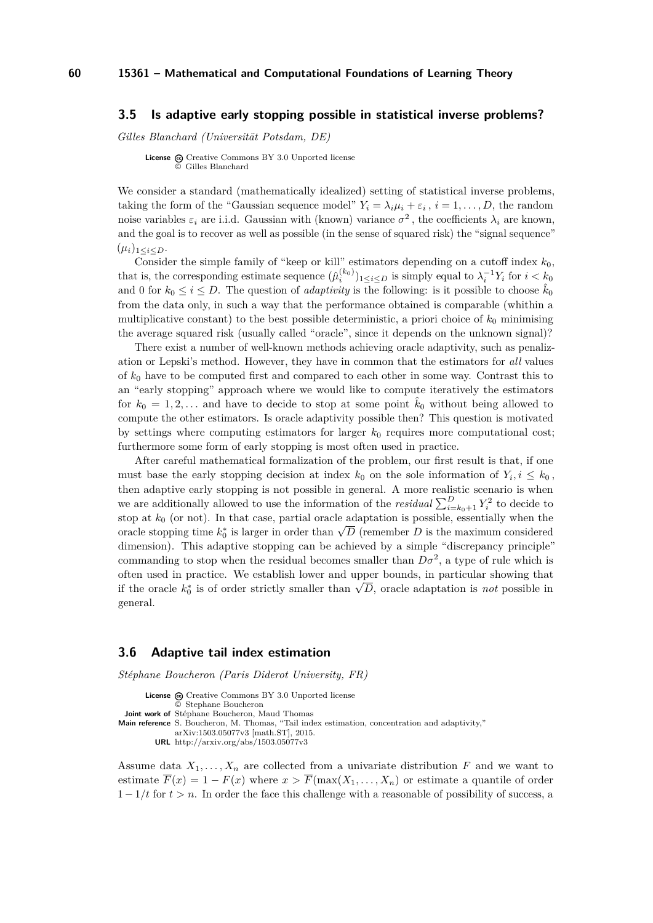#### <span id="page-6-0"></span>**3.5 Is adaptive early stopping possible in statistical inverse problems?**

*Gilles Blanchard (Universität Potsdam, DE)*

**License**  $\odot$  [Creative Commons BY 3.0 Unported](http://creativecommons.org/licenses/by/3.0/) license © [Gilles Blanchard](#page-6-0)

We consider a standard (mathematically idealized) setting of statistical inverse problems, taking the form of the "Gaussian sequence model"  $Y_i = \lambda_i \mu_i + \varepsilon_i$ ,  $i = 1, \ldots, D$ , the random noise variables  $\varepsilon_i$  are i.i.d. Gaussian with (known) variance  $\sigma^2$ , the coefficients  $\lambda_i$  are known, and the goal is to recover as well as possible (in the sense of squared risk) the "signal sequence"  $(\mu_i)_{1 \leq i \leq D}$ .

Consider the simple family of "keep or kill" estimators depending on a cutoff index  $k_0$ , that is, the corresponding estimate sequence  $(\hat{\mu}_i^{(k_0)})_{1 \le i \le D}$  is simply equal to  $\lambda_i^{-1} Y_i$  for  $i < k_0$ and 0 for  $k_0 \leq i \leq D$ . The question of *adaptivity* is the following: is it possible to choose  $\hat{k}_0$ from the data only, in such a way that the performance obtained is comparable (whithin a multiplicative constant) to the best possible deterministic, a priori choice of  $k_0$  minimising the average squared risk (usually called "oracle", since it depends on the unknown signal)?

There exist a number of well-known methods achieving oracle adaptivity, such as penalization or Lepski's method. However, they have in common that the estimators for *all* values of *k*<sup>0</sup> have to be computed first and compared to each other in some way. Contrast this to an "early stopping" approach where we would like to compute iteratively the estimators for  $k_0 = 1, 2, \ldots$  and have to decide to stop at some point  $\hat{k}_0$  without being allowed to compute the other estimators. Is oracle adaptivity possible then? This question is motivated by settings where computing estimators for larger  $k_0$  requires more computational cost; furthermore some form of early stopping is most often used in practice.

After careful mathematical formalization of the problem, our first result is that, if one must base the early stopping decision at index  $k_0$  on the sole information of  $Y_i, i \leq k_0$ , then adaptive early stopping is not possible in general. A more realistic scenario is when we are additionally allowed to use the information of the *residual*  $\sum_{i=k_0+1}^{D} Y_i^2$  to decide to stop at  $k_0$  (or not). In that case, partial oracle adaptation is possible, essentially when the stop at  $\kappa_0$  (or not). In that case, partial oracle adaptation is possible, essentially when the oracle stopping time  $k_0^*$  is larger in order than  $\sqrt{D}$  (remember *D* is the maximum considered dimension). This adaptive stopping can be achieved by a simple "discrepancy principle" commanding to stop when the residual becomes smaller than  $D\sigma^2$ , a type of rule which is often used in practice. We establish lower and upper bounds, in particular showing that often used in practice. We establish lower and upper bounds, in particular showing that if the oracle  $k_0^*$  is of order strictly smaller than  $\sqrt{D}$ , oracle adaptation is *not* possible in general.

### <span id="page-6-1"></span>**3.6 Adaptive tail index estimation**

*Stéphane Boucheron (Paris Diderot University, FR)*

License  $\textcircled{e}$  [Creative Commons BY 3.0 Unported](http://creativecommons.org/licenses/by/3.0/) license © [Stephane Boucheron](#page-6-1) **Joint work of** Stéphane Boucheron, Maud Thomas **Main reference** [S. Boucheron, M. Thomas, "Tail index estimation, concentration and adaptivity,"](http://arxiv.org/abs/1503.05077v3) [arXiv:1503.05077v3 \[math.ST\], 2015.](http://arxiv.org/abs/1503.05077v3) **URL** <http://arxiv.org/abs/1503.05077v3>

Assume data  $X_1, \ldots, X_n$  are collected from a univariate distribution  $F$  and we want to estimate  $\overline{F}(x) = 1 - F(x)$  where  $x > \overline{F}(\max(X_1, \ldots, X_n))$  or estimate a quantile of order 1 − 1*/t* for *t > n*. In order the face this challenge with a reasonable of possibility of success, a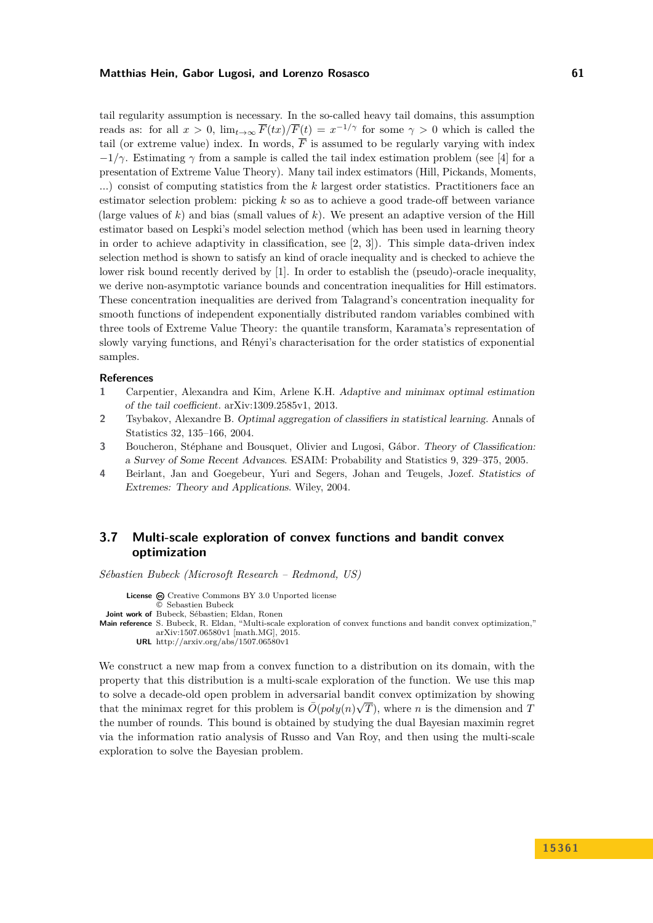tail regularity assumption is necessary. In the so-called heavy tail domains, this assumption reads as: for all  $x > 0$ ,  $\lim_{t \to \infty} \overline{F}(tx)/\overline{F}(t) = x^{-1/\gamma}$  for some  $\gamma > 0$  which is called the tail (or extreme value) index. In words,  $\overline{F}$  is assumed to be regularly varying with index  $-1/\gamma$ . Estimating  $\gamma$  from a sample is called the tail index estimation problem (see [\[4\]](#page-7-1) for a presentation of Extreme Value Theory). Many tail index estimators (Hill, Pickands, Moments, ...) consist of computing statistics from the *k* largest order statistics. Practitioners face an estimator selection problem: picking *k* so as to achieve a good trade-off between variance (large values of  $k$ ) and bias (small values of  $k$ ). We present an adaptive version of the Hill estimator based on Lespki's model selection method (which has been used in learning theory in order to achieve adaptivity in classification, see  $[2, 3]$  $[2, 3]$  $[2, 3]$ ). This simple data-driven index selection method is shown to satisfy an kind of oracle inequality and is checked to achieve the lower risk bound recently derived by [\[1\]](#page-7-4). In order to establish the (pseudo)-oracle inequality, we derive non-asymptotic variance bounds and concentration inequalities for Hill estimators. These concentration inequalities are derived from Talagrand's concentration inequality for smooth functions of independent exponentially distributed random variables combined with three tools of Extreme Value Theory: the quantile transform, Karamata's representation of slowly varying functions, and Rényi's characterisation for the order statistics of exponential samples.

#### **References**

- <span id="page-7-4"></span>**1** Carpentier, Alexandra and Kim, Arlene K.H. Adaptive and minimax optimal estimation of the tail coefficient. arXiv:1309.2585v1, 2013.
- <span id="page-7-2"></span>**2** Tsybakov, Alexandre B. Optimal aggregation of classifiers in statistical learning. Annals of Statistics 32, 135–166, 2004.
- <span id="page-7-3"></span>**3** Boucheron, Stéphane and Bousquet, Olivier and Lugosi, Gábor. Theory of Classification: a Survey of Some Recent Advances. ESAIM: Probability and Statistics 9, 329–375, 2005.
- <span id="page-7-1"></span>**4** Beirlant, Jan and Goegebeur, Yuri and Segers, Johan and Teugels, Jozef. Statistics of Extremes: Theory and Applications. Wiley, 2004.

### <span id="page-7-0"></span>**3.7 Multi-scale exploration of convex functions and bandit convex optimization**

*Sébastien Bubeck (Microsoft Research – Redmond, US)*

```
License \textcircled{a}Creative Commons BY 3.0 Unported license
               © Sebastien Bubeck
 Joint work of Bubeck, Sébastien; Eldan, Ronen
Main reference S. Bubeck, R. Eldan, "Multi-scale exploration of convex functions and bandit convex optimization,"
              arXiv:1507.06580v1 [math.MG], 2015.
         URL http://arxiv.org/abs/1507.06580v1
```
We construct a new map from a convex function to a distribution on its domain, with the property that this distribution is a multi-scale exploration of the function. We use this map to solve a decade-old open problem in adversarial bandit convex optimization by showing that the minimax regret for this problem is  $\overline{O}(poly(n)\sqrt{T})$ , where *n* is the dimension and *T* the number of rounds. This bound is obtained by studying the dual Bayesian maximin regret via the information ratio analysis of Russo and Van Roy, and then using the multi-scale exploration to solve the Bayesian problem.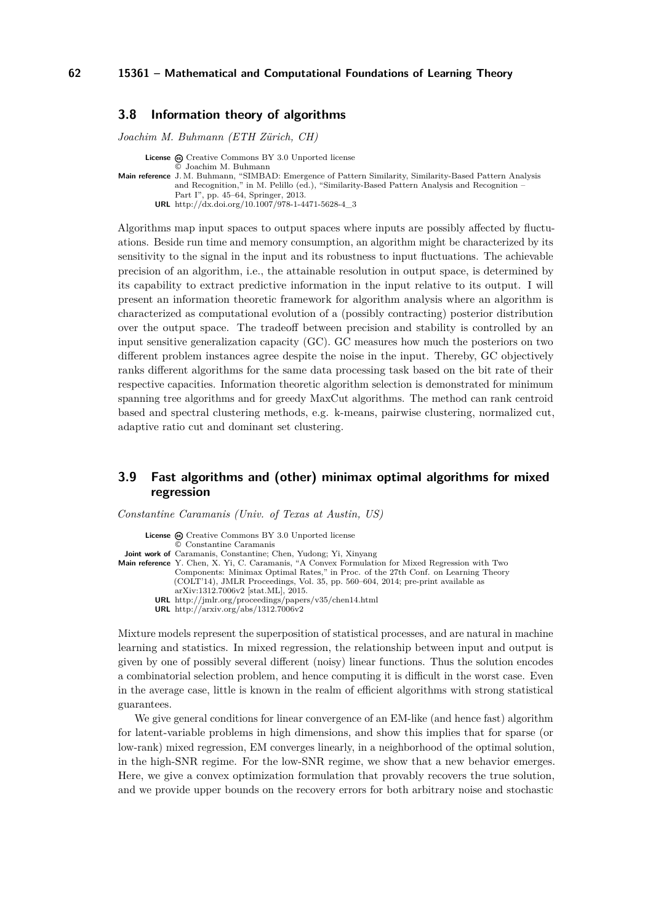### <span id="page-8-0"></span>**3.8 Information theory of algorithms**

*Joachim M. Buhmann (ETH Zürich, CH)*

**License**  $\odot$  [Creative Commons BY 3.0 Unported](http://creativecommons.org/licenses/by/3.0/) license © [Joachim M. Buhmann](#page-8-0) **Main reference** [J. M. Buhmann, "SIMBAD: Emergence of Pattern Similarity, Similarity-Based Pattern Analysis](http://dx.doi.org/10.1007/978-1-4471-5628-4_3) [and Recognition," in M. Pelillo \(ed.\), "Similarity-Based Pattern Analysis and Recognition –](http://dx.doi.org/10.1007/978-1-4471-5628-4_3) [Part I", pp. 45–64, Springer, 2013.](http://dx.doi.org/10.1007/978-1-4471-5628-4_3) **URL** [http://dx.doi.org/10.1007/978-1-4471-5628-4\\_3](http://dx.doi.org/10.1007/978-1-4471-5628-4_3)

Algorithms map input spaces to output spaces where inputs are possibly affected by fluctuations. Beside run time and memory consumption, an algorithm might be characterized by its sensitivity to the signal in the input and its robustness to input fluctuations. The achievable precision of an algorithm, i.e., the attainable resolution in output space, is determined by its capability to extract predictive information in the input relative to its output. I will present an information theoretic framework for algorithm analysis where an algorithm is characterized as computational evolution of a (possibly contracting) posterior distribution over the output space. The tradeoff between precision and stability is controlled by an input sensitive generalization capacity (GC). GC measures how much the posteriors on two different problem instances agree despite the noise in the input. Thereby, GC objectively ranks different algorithms for the same data processing task based on the bit rate of their respective capacities. Information theoretic algorithm selection is demonstrated for minimum spanning tree algorithms and for greedy MaxCut algorithms. The method can rank centroid based and spectral clustering methods, e.g. k-means, pairwise clustering, normalized cut, adaptive ratio cut and dominant set clustering.

### <span id="page-8-1"></span>**3.9 Fast algorithms and (other) minimax optimal algorithms for mixed regression**

*Constantine Caramanis (Univ. of Texas at Austin, US)*

License  $\textcircled{c}$  [Creative Commons BY 3.0 Unported](http://creativecommons.org/licenses/by/3.0/) license © [Constantine Caramanis](#page-8-1) **Joint work of** Caramanis, Constantine; Chen, Yudong; Yi, Xinyang **Main reference** [Y. Chen, X. Yi, C. Caramanis, "A Convex Formulation for Mixed Regression with Two](http://jmlr.org/proceedings/papers/v35/chen14.html) [Components: Minimax Optimal Rates," in Proc. of the 27th Conf. on Learning Theory](http://jmlr.org/proceedings/papers/v35/chen14.html) [\(COLT'14\), JMLR Proceedings, Vol. 35, pp. 560–604, 2014; pre-print available as](http://jmlr.org/proceedings/papers/v35/chen14.html) [arXiv:1312.7006v2 \[stat.ML\], 2015.](http://jmlr.org/proceedings/papers/v35/chen14.html) **URL** <http://jmlr.org/proceedings/papers/v35/chen14.html> **URL** <http://arxiv.org/abs/1312.7006v2>

Mixture models represent the superposition of statistical processes, and are natural in machine learning and statistics. In mixed regression, the relationship between input and output is given by one of possibly several different (noisy) linear functions. Thus the solution encodes a combinatorial selection problem, and hence computing it is difficult in the worst case. Even in the average case, little is known in the realm of efficient algorithms with strong statistical guarantees.

We give general conditions for linear convergence of an EM-like (and hence fast) algorithm for latent-variable problems in high dimensions, and show this implies that for sparse (or low-rank) mixed regression, EM converges linearly, in a neighborhood of the optimal solution, in the high-SNR regime. For the low-SNR regime, we show that a new behavior emerges. Here, we give a convex optimization formulation that provably recovers the true solution, and we provide upper bounds on the recovery errors for both arbitrary noise and stochastic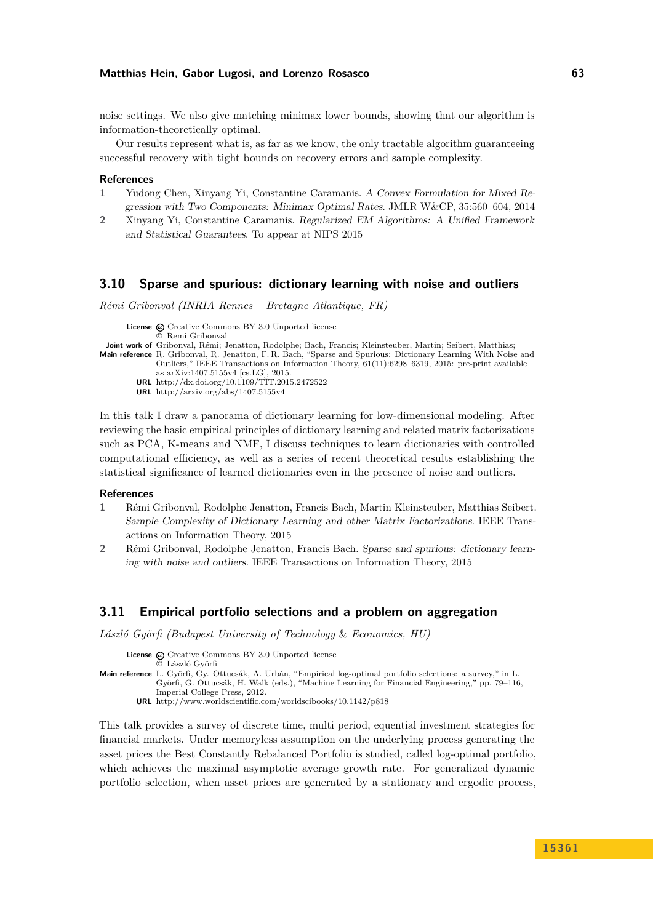noise settings. We also give matching minimax lower bounds, showing that our algorithm is information-theoretically optimal.

Our results represent what is, as far as we know, the only tractable algorithm guaranteeing successful recovery with tight bounds on recovery errors and sample complexity.

#### **References**

- **1** Yudong Chen, Xinyang Yi, Constantine Caramanis. A Convex Formulation for Mixed Regression with Two Components: Minimax Optimal Rates. JMLR W&CP, 35:560–604, 2014
- **2** Xinyang Yi, Constantine Caramanis. Regularized EM Algorithms: A Unified Framework and Statistical Guarantees. To appear at NIPS 2015

### <span id="page-9-0"></span>**3.10 Sparse and spurious: dictionary learning with noise and outliers**

*Rémi Gribonval (INRIA Rennes – Bretagne Atlantique, FR)*

License  $\textcircled{c}$  [Creative Commons BY 3.0 Unported](http://creativecommons.org/licenses/by/3.0/) license © [Remi Gribonval](#page-9-0) **Joint work of** Gribonval, Rémi; Jenatton, Rodolphe; Bach, Francis; Kleinsteuber, Martin; Seibert, Matthias; **Main reference** [R. Gribonval, R. Jenatton, F. R. Bach, "Sparse and Spurious: Dictionary Learning With Noise and](http://dx.doi.org/10.1109/TIT.2015.2472522) [Outliers," IEEE Transactions on Information Theory, 61\(11\):6298–6319, 2015: pre-print available](http://dx.doi.org/10.1109/TIT.2015.2472522) [as arXiv:1407.5155v4 \[cs.LG\], 2015.](http://dx.doi.org/10.1109/TIT.2015.2472522) **URL** <http://dx.doi.org/10.1109/TIT.2015.2472522> **URL** <http://arxiv.org/abs/1407.5155v4>

In this talk I draw a panorama of dictionary learning for low-dimensional modeling. After reviewing the basic empirical principles of dictionary learning and related matrix factorizations such as PCA, K-means and NMF, I discuss techniques to learn dictionaries with controlled computational efficiency, as well as a series of recent theoretical results establishing the statistical significance of learned dictionaries even in the presence of noise and outliers.

#### **References**

- **1** Rémi Gribonval, Rodolphe Jenatton, Francis Bach, Martin Kleinsteuber, Matthias Seibert. Sample Complexity of Dictionary Learning and other Matrix Factorizations. IEEE Transactions on Information Theory, 2015
- **2** Rémi Gribonval, Rodolphe Jenatton, Francis Bach. Sparse and spurious: dictionary learning with noise and outliers. IEEE Transactions on Information Theory, 2015

#### <span id="page-9-1"></span>**3.11 Empirical portfolio selections and a problem on aggregation**

*László Györfi (Budapest University of Technology* & *Economics, HU)*

**License**  $\textcircled{e}$  [Creative Commons BY 3.0 Unported](http://creativecommons.org/licenses/by/3.0/) license [László Györfi](#page-9-1)

**Main reference** [L. Györfi, Gy. Ottucsák, A. Urbán, "Empirical log-optimal portfolio selections: a survey," in L.](http://www.worldscientific.com/worldscibooks/10.1142/p818) [Györfi, G. Ottucsák, H. Walk \(eds.\), "Machine Learning for Financial Engineering," pp. 79–116,](http://www.worldscientific.com/worldscibooks/10.1142/p818) [Imperial College Press, 2012.](http://www.worldscientific.com/worldscibooks/10.1142/p818)

**URL** <http://www.worldscientific.com/worldscibooks/10.1142/p818>

This talk provides a survey of discrete time, multi period, equential investment strategies for financial markets. Under memoryless assumption on the underlying process generating the asset prices the Best Constantly Rebalanced Portfolio is studied, called log-optimal portfolio, which achieves the maximal asymptotic average growth rate. For generalized dynamic portfolio selection, when asset prices are generated by a stationary and ergodic process,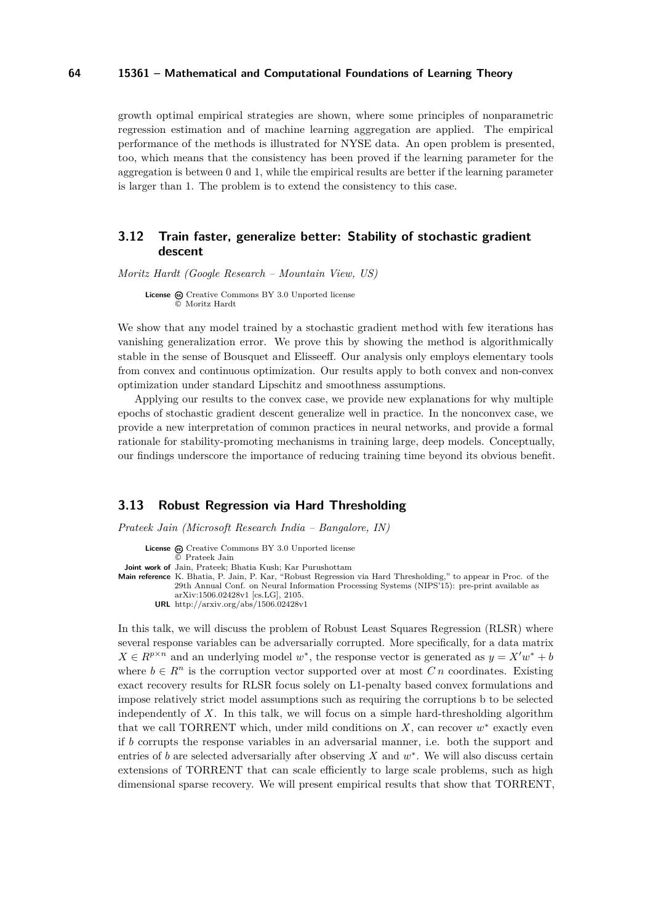growth optimal empirical strategies are shown, where some principles of nonparametric regression estimation and of machine learning aggregation are applied. The empirical performance of the methods is illustrated for NYSE data. An open problem is presented, too, which means that the consistency has been proved if the learning parameter for the aggregation is between 0 and 1, while the empirical results are better if the learning parameter is larger than 1. The problem is to extend the consistency to this case.

### <span id="page-10-0"></span>**3.12 Train faster, generalize better: Stability of stochastic gradient descent**

*Moritz Hardt (Google Research – Mountain View, US)*

License  $\textcircled{c}$  [Creative Commons BY 3.0 Unported](http://creativecommons.org/licenses/by/3.0/) license © [Moritz Hardt](#page-10-0)

We show that any model trained by a stochastic gradient method with few iterations has vanishing generalization error. We prove this by showing the method is algorithmically stable in the sense of Bousquet and Elisseeff. Our analysis only employs elementary tools from convex and continuous optimization. Our results apply to both convex and non-convex optimization under standard Lipschitz and smoothness assumptions.

Applying our results to the convex case, we provide new explanations for why multiple epochs of stochastic gradient descent generalize well in practice. In the nonconvex case, we provide a new interpretation of common practices in neural networks, and provide a formal rationale for stability-promoting mechanisms in training large, deep models. Conceptually, our findings underscore the importance of reducing training time beyond its obvious benefit.

### <span id="page-10-1"></span>**3.13 Robust Regression via Hard Thresholding**

*Prateek Jain (Microsoft Research India – Bangalore, IN)*

**License**  $\textcircled{e}$  [Creative Commons BY 3.0 Unported](http://creativecommons.org/licenses/by/3.0/) license © [Prateek Jain](#page-10-1) **Joint work of** Jain, Prateek; Bhatia Kush; Kar Purushottam **Main reference** [K. Bhatia, P. Jain, P. Kar, "Robust Regression via Hard Thresholding," to appear in Proc. of the](http://arxiv.org/abs/1506.02428) [29th Annual Conf. on Neural Information Processing Systems \(NIPS'15\): pre-print available as](http://arxiv.org/abs/1506.02428) [arXiv:1506.02428v1 \[cs.LG\], 2105.](http://arxiv.org/abs/1506.02428) **URL** <http://arxiv.org/abs/1506.02428v1>

In this talk, we will discuss the problem of Robust Least Squares Regression (RLSR) where several response variables can be adversarially corrupted. More specifically, for a data matrix  $X \in R^{p \times n}$  and an underlying model  $w^*$ , the response vector is generated as  $y = X'w^* + b$ where  $b \in R^n$  is the corruption vector supported over at most *Cn* coordinates. Existing exact recovery results for RLSR focus solely on L1-penalty based convex formulations and impose relatively strict model assumptions such as requiring the corruptions b to be selected independently of *X*. In this talk, we will focus on a simple hard-thresholding algorithm that we call TORRENT which, under mild conditions on  $X$ , can recover  $w^*$  exactly even if *b* corrupts the response variables in an adversarial manner, i.e. both the support and entries of  $b$  are selected adversarially after observing  $X$  and  $w^*$ . We will also discuss certain extensions of TORRENT that can scale efficiently to large scale problems, such as high dimensional sparse recovery. We will present empirical results that show that TORRENT,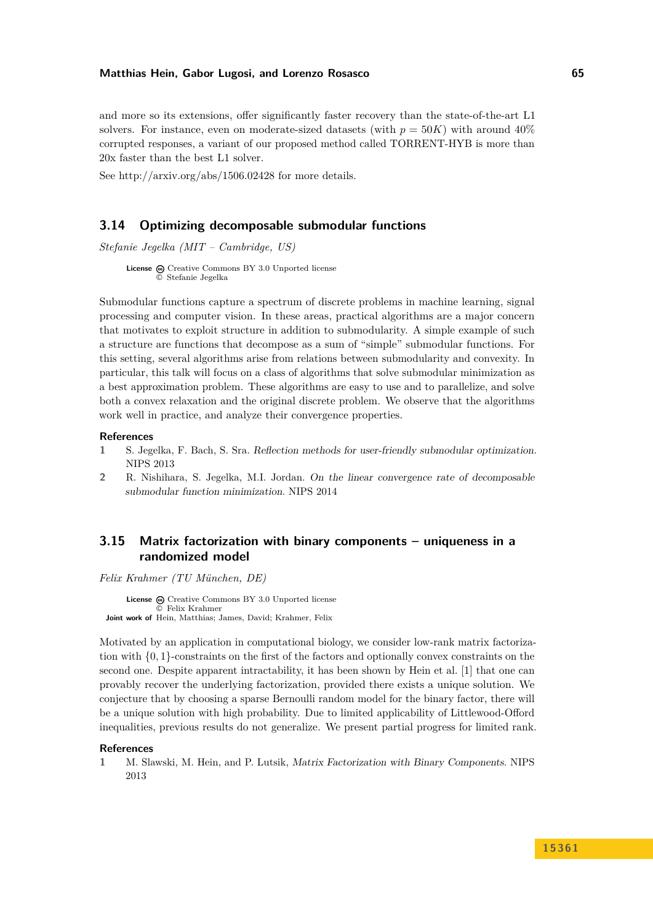and more so its extensions, offer significantly faster recovery than the state-of-the-art L1 solvers. For instance, even on moderate-sized datasets (with  $p = 50K$ ) with around  $40\%$ corrupted responses, a variant of our proposed method called TORRENT-HYB is more than 20x faster than the best L1 solver.

See<http://arxiv.org/abs/1506.02428> for more details.

### <span id="page-11-0"></span>**3.14 Optimizing decomposable submodular functions**

*Stefanie Jegelka (MIT – Cambridge, US)*

**License**  $\odot$  [Creative Commons BY 3.0 Unported](http://creativecommons.org/licenses/by/3.0/) license © [Stefanie Jegelka](#page-11-0)

Submodular functions capture a spectrum of discrete problems in machine learning, signal processing and computer vision. In these areas, practical algorithms are a major concern that motivates to exploit structure in addition to submodularity. A simple example of such a structure are functions that decompose as a sum of "simple" submodular functions. For this setting, several algorithms arise from relations between submodularity and convexity. In particular, this talk will focus on a class of algorithms that solve submodular minimization as a best approximation problem. These algorithms are easy to use and to parallelize, and solve both a convex relaxation and the original discrete problem. We observe that the algorithms work well in practice, and analyze their convergence properties.

#### **References**

- **1** S. Jegelka, F. Bach, S. Sra. Reflection methods for user-friendly submodular optimization. NIPS 2013
- **2** R. Nishihara, S. Jegelka, M.I. Jordan. On the linear convergence rate of decomposable submodular function minimization. NIPS 2014

### <span id="page-11-1"></span>**3.15 Matrix factorization with binary components – uniqueness in a randomized model**

*Felix Krahmer (TU München, DE)*

License  $\textcircled{a}$  [Creative Commons BY 3.0 Unported](http://creativecommons.org/licenses/by/3.0/) license © [Felix Krahmer](#page-11-1) **Joint work of** Hein, Matthias; James, David; Krahmer, Felix

Motivated by an application in computational biology, we consider low-rank matrix factorization with {0*,* 1}-constraints on the first of the factors and optionally convex constraints on the second one. Despite apparent intractability, it has been shown by Hein et al. [\[1\]](#page-11-2) that one can provably recover the underlying factorization, provided there exists a unique solution. We conjecture that by choosing a sparse Bernoulli random model for the binary factor, there will be a unique solution with high probability. Due to limited applicability of Littlewood-Offord inequalities, previous results do not generalize. We present partial progress for limited rank.

#### **References**

<span id="page-11-2"></span>**1** M. Slawski, M. Hein, and P. Lutsik, Matrix Factorization with Binary Components. NIPS 2013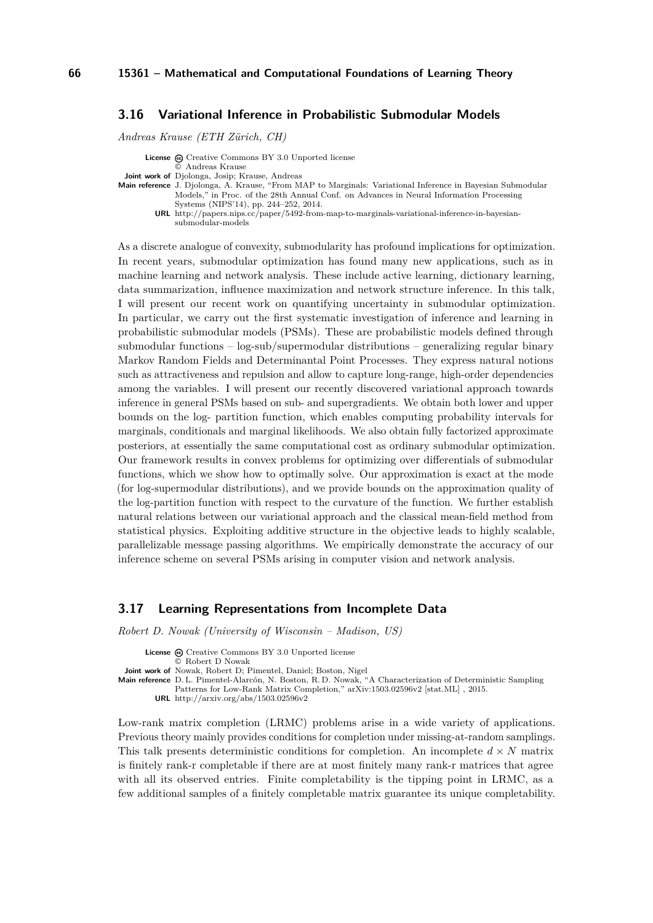### <span id="page-12-0"></span>**3.16 Variational Inference in Probabilistic Submodular Models**

*Andreas Krause (ETH Zürich, CH)*

| <b>License</b> $\omega$ Creative Commons BY 3.0 Unported license                                            |
|-------------------------------------------------------------------------------------------------------------|
| © Andreas Krause                                                                                            |
| <b>Joint work of</b> Djolonga, Josip; Krause, Andreas                                                       |
| Main reference J. Djolonga, A. Krause, "From MAP to Marginals: Variational Inference in Bayesian Submodular |
| Models," in Proc. of the 28th Annual Conf. on Advances in Neural Information Processing                     |
| Systems (NIPS'14), pp. 244–252, 2014.                                                                       |
| URL http://papers.nips.cc/paper/5492-from-map-to-marginals-variational-inference-in-bayesian-               |
| submodular-models                                                                                           |

As a discrete analogue of convexity, submodularity has profound implications for optimization. In recent years, submodular optimization has found many new applications, such as in machine learning and network analysis. These include active learning, dictionary learning, data summarization, influence maximization and network structure inference. In this talk, I will present our recent work on quantifying uncertainty in submodular optimization. In particular, we carry out the first systematic investigation of inference and learning in probabilistic submodular models (PSMs). These are probabilistic models defined through submodular functions – log-sub/supermodular distributions – generalizing regular binary Markov Random Fields and Determinantal Point Processes. They express natural notions such as attractiveness and repulsion and allow to capture long-range, high-order dependencies among the variables. I will present our recently discovered variational approach towards inference in general PSMs based on sub- and supergradients. We obtain both lower and upper bounds on the log- partition function, which enables computing probability intervals for marginals, conditionals and marginal likelihoods. We also obtain fully factorized approximate posteriors, at essentially the same computational cost as ordinary submodular optimization. Our framework results in convex problems for optimizing over differentials of submodular functions, which we show how to optimally solve. Our approximation is exact at the mode (for log-supermodular distributions), and we provide bounds on the approximation quality of the log-partition function with respect to the curvature of the function. We further establish natural relations between our variational approach and the classical mean-field method from statistical physics. Exploiting additive structure in the objective leads to highly scalable, parallelizable message passing algorithms. We empirically demonstrate the accuracy of our inference scheme on several PSMs arising in computer vision and network analysis.

### <span id="page-12-1"></span>**3.17 Learning Representations from Incomplete Data**

*Robert D. Nowak (University of Wisconsin – Madison, US)*

License  $\bigcirc$  [Creative Commons BY 3.0 Unported](http://creativecommons.org/licenses/by/3.0/) license © [Robert D Nowak](#page-12-1) **Joint work of** Nowak, Robert D; Pimentel, Daniel; Boston, Nigel **Main reference** [D. L. Pimentel-Alarcón, N. Boston, R. D. Nowak, "A Characterization of Deterministic Sampling](http://arxiv.org/abs/1503.02596v2) [Patterns for Low-Rank Matrix Completion," arXiv:1503.02596v2 \[stat.ML\] , 2015.](http://arxiv.org/abs/1503.02596v2) **URL** <http://arxiv.org/abs/1503.02596v2>

Low-rank matrix completion (LRMC) problems arise in a wide variety of applications. Previous theory mainly provides conditions for completion under missing-at-random samplings. This talk presents deterministic conditions for completion. An incomplete  $d \times N$  matrix is finitely rank-r completable if there are at most finitely many rank-r matrices that agree with all its observed entries. Finite completability is the tipping point in LRMC, as a few additional samples of a finitely completable matrix guarantee its unique completability.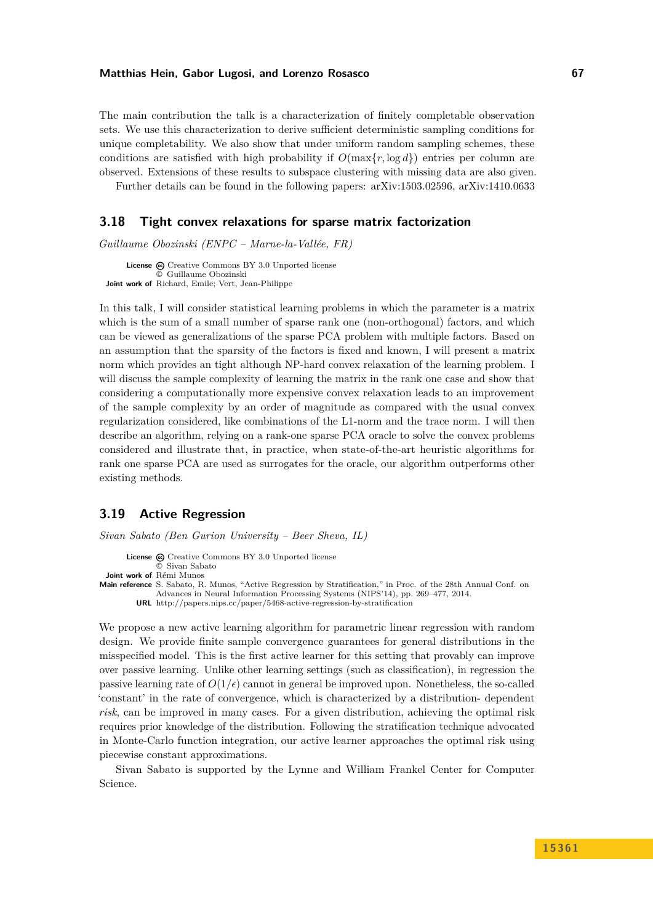The main contribution the talk is a characterization of finitely completable observation sets. We use this characterization to derive sufficient deterministic sampling conditions for unique completability. We also show that under uniform random sampling schemes, these conditions are satisfied with high probability if  $O(\max\{r, \log d\})$  entries per column are observed. Extensions of these results to subspace clustering with missing data are also given.

Further details can be found in the following papers: arXiv:1503.02596, arXiv:1410.0633

### <span id="page-13-0"></span>**3.18 Tight convex relaxations for sparse matrix factorization**

*Guillaume Obozinski (ENPC – Marne-la-Vallée, FR)*

**License**  $\textcircled{c}$  [Creative Commons BY 3.0 Unported](http://creativecommons.org/licenses/by/3.0/) license © [Guillaume Obozinski](#page-13-0) **Joint work of** Richard, Emile; Vert, Jean-Philippe

In this talk, I will consider statistical learning problems in which the parameter is a matrix which is the sum of a small number of sparse rank one (non-orthogonal) factors, and which can be viewed as generalizations of the sparse PCA problem with multiple factors. Based on an assumption that the sparsity of the factors is fixed and known, I will present a matrix norm which provides an tight although NP-hard convex relaxation of the learning problem. I will discuss the sample complexity of learning the matrix in the rank one case and show that considering a computationally more expensive convex relaxation leads to an improvement of the sample complexity by an order of magnitude as compared with the usual convex regularization considered, like combinations of the L1-norm and the trace norm. I will then describe an algorithm, relying on a rank-one sparse PCA oracle to solve the convex problems considered and illustrate that, in practice, when state-of-the-art heuristic algorithms for rank one sparse PCA are used as surrogates for the oracle, our algorithm outperforms other existing methods.

### <span id="page-13-1"></span>**3.19 Active Regression**

*Sivan Sabato (Ben Gurion University – Beer Sheva, IL)*

- License  $\textcircled{c}$  [Creative Commons BY 3.0 Unported](http://creativecommons.org/licenses/by/3.0/) license © [Sivan Sabato](#page-13-1)
- **Joint work of** Rémi Munos
- **Main reference** [S. Sabato, R. Munos, "Active Regression by Stratification," in Proc. of the 28th Annual Conf. on](http://papers.nips.cc/paper/5468-active-regression-by-stratification) [Advances in Neural Information Processing Systems \(NIPS'14\), pp. 269–477, 2014.](http://papers.nips.cc/paper/5468-active-regression-by-stratification) **URL** <http://papers.nips.cc/paper/5468-active-regression-by-stratification>

We propose a new active learning algorithm for parametric linear regression with random design. We provide finite sample convergence guarantees for general distributions in the misspecified model. This is the first active learner for this setting that provably can improve over passive learning. Unlike other learning settings (such as classification), in regression the passive learning rate of  $O(1/\epsilon)$  cannot in general be improved upon. Nonetheless, the so-called 'constant' in the rate of convergence, which is characterized by a distribution- dependent *risk*, can be improved in many cases. For a given distribution, achieving the optimal risk requires prior knowledge of the distribution. Following the stratification technique advocated in Monte-Carlo function integration, our active learner approaches the optimal risk using piecewise constant approximations.

Sivan Sabato is supported by the Lynne and William Frankel Center for Computer Science.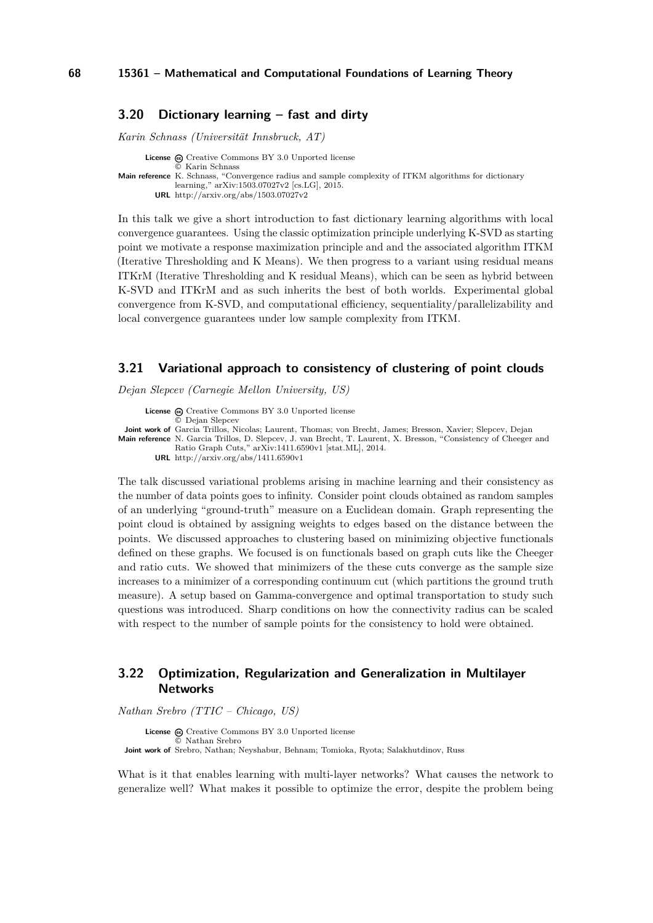### <span id="page-14-0"></span>**3.20 Dictionary learning – fast and dirty**

*Karin Schnass (Universität Innsbruck, AT)*

**License**  $\odot$  [Creative Commons BY 3.0 Unported](http://creativecommons.org/licenses/by/3.0/) license © [Karin Schnass](#page-14-0) **Main reference** [K. Schnass, "Convergence radius and sample complexity of ITKM algorithms for dictionary](http://arxiv.org/abs/1503.07027v2) [learning," arXiv:1503.07027v2 \[cs.LG\], 2015.](http://arxiv.org/abs/1503.07027v2) **URL** <http://arxiv.org/abs/1503.07027v2>

In this talk we give a short introduction to fast dictionary learning algorithms with local convergence guarantees. Using the classic optimization principle underlying K-SVD as starting point we motivate a response maximization principle and and the associated algorithm ITKM (Iterative Thresholding and K Means). We then progress to a variant using residual means ITKrM (Iterative Thresholding and K residual Means), which can be seen as hybrid between K-SVD and ITKrM and as such inherits the best of both worlds. Experimental global convergence from K-SVD, and computational efficiency, sequentiality/parallelizability and local convergence guarantees under low sample complexity from ITKM.

### <span id="page-14-1"></span>**3.21 Variational approach to consistency of clustering of point clouds**

*Dejan Slepcev (Carnegie Mellon University, US)*

License  $\bigcirc$  [Creative Commons BY 3.0 Unported](http://creativecommons.org/licenses/by/3.0/) license © [Dejan Slepcev](#page-14-1) **Joint work of** Garcia Trillos, Nicolas; Laurent, Thomas; von Brecht, James; Bresson, Xavier; Slepcev, Dejan **Main reference** [N. Garcia Trillos, D. Slepcev, J. van Brecht, T. Laurent, X. Bresson, "Consistency of Cheeger and](http://arxiv.org/abs/1411.6590v1) [Ratio Graph Cuts," arXiv:1411.6590v1 \[stat.ML\], 2014.](http://arxiv.org/abs/1411.6590v1) **URL** <http://arxiv.org/abs/1411.6590v1>

The talk discussed variational problems arising in machine learning and their consistency as the number of data points goes to infinity. Consider point clouds obtained as random samples of an underlying "ground-truth" measure on a Euclidean domain. Graph representing the point cloud is obtained by assigning weights to edges based on the distance between the points. We discussed approaches to clustering based on minimizing objective functionals defined on these graphs. We focused is on functionals based on graph cuts like the Cheeger and ratio cuts. We showed that minimizers of the these cuts converge as the sample size increases to a minimizer of a corresponding continuum cut (which partitions the ground truth measure). A setup based on Gamma-convergence and optimal transportation to study such questions was introduced. Sharp conditions on how the connectivity radius can be scaled with respect to the number of sample points for the consistency to hold were obtained.

### <span id="page-14-2"></span>**3.22 Optimization, Regularization and Generalization in Multilayer Networks**

*Nathan Srebro (TTIC – Chicago, US)*

License @ [Creative Commons BY 3.0 Unported](http://creativecommons.org/licenses/by/3.0/) license © [Nathan Srebro](#page-14-2) **Joint work of** Srebro, Nathan; Neyshabur, Behnam; Tomioka, Ryota; Salakhutdinov, Russ

What is it that enables learning with multi-layer networks? What causes the network to generalize well? What makes it possible to optimize the error, despite the problem being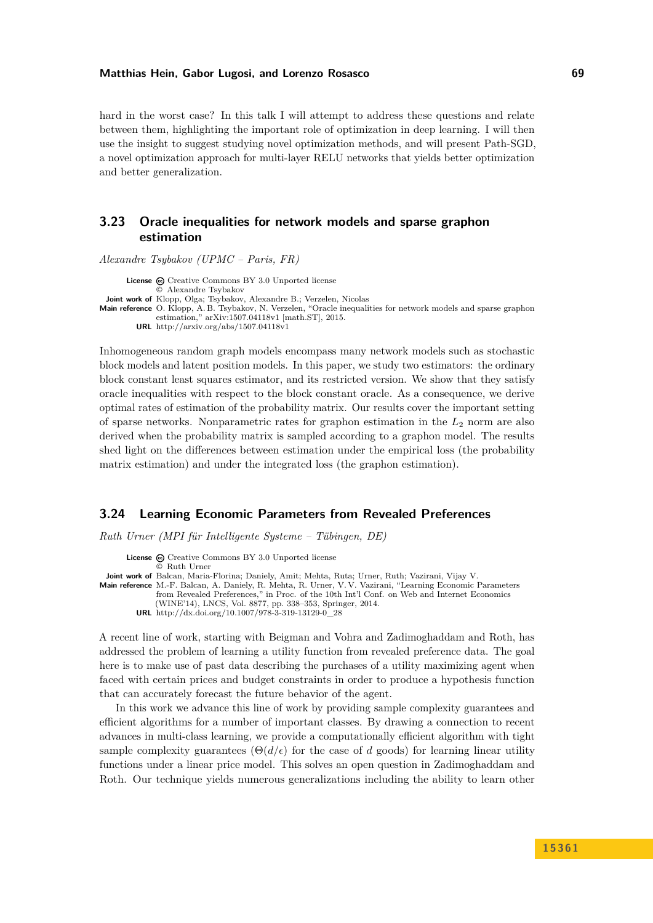hard in the worst case? In this talk I will attempt to address these questions and relate between them, highlighting the important role of optimization in deep learning. I will then use the insight to suggest studying novel optimization methods, and will present Path-SGD, a novel optimization approach for multi-layer RELU networks that yields better optimization and better generalization.

### <span id="page-15-0"></span>**3.23 Oracle inequalities for network models and sparse graphon estimation**

*Alexandre Tsybakov (UPMC – Paris, FR)*

License  $\textcircled{c}$  [Creative Commons BY 3.0 Unported](http://creativecommons.org/licenses/by/3.0/) license © [Alexandre Tsybakov](#page-15-0) **Joint work of** Klopp, Olga; Tsybakov, Alexandre B.; Verzelen, Nicolas **Main reference** [O. Klopp, A. B. Tsybakov, N. Verzelen, "Oracle inequalities for network models and sparse graphon](http://arxiv.org/abs/1507.04118v1) [estimation," arXiv:1507.04118v1 \[math.ST\], 2015.](http://arxiv.org/abs/1507.04118v1) **URL** <http://arxiv.org/abs/1507.04118v1>

Inhomogeneous random graph models encompass many network models such as stochastic block models and latent position models. In this paper, we study two estimators: the ordinary block constant least squares estimator, and its restricted version. We show that they satisfy oracle inequalities with respect to the block constant oracle. As a consequence, we derive optimal rates of estimation of the probability matrix. Our results cover the important setting of sparse networks. Nonparametric rates for graphon estimation in the *L*<sup>2</sup> norm are also derived when the probability matrix is sampled according to a graphon model. The results shed light on the differences between estimation under the empirical loss (the probability matrix estimation) and under the integrated loss (the graphon estimation).

### <span id="page-15-1"></span>**3.24 Learning Economic Parameters from Revealed Preferences**

*Ruth Urner (MPI für Intelligente Systeme – Tübingen, DE)*

License  $\textcircled{c}$  [Creative Commons BY 3.0 Unported](http://creativecommons.org/licenses/by/3.0/) license © [Ruth Urner](#page-15-1) **Joint work of** Balcan, Maria-Florina; Daniely, Amit; Mehta, Ruta; Urner, Ruth; Vazirani, Vijay V. **Main reference** [M.-F. Balcan, A. Daniely, R. Mehta, R. Urner, V. V. Vazirani, "Learning Economic Parameters](http://dx.doi.org/10.1007/978-3-319-13129-0_28)

[from Revealed Preferences," in Proc. of the 10th Int'l Conf. on Web and Internet Economics](http://dx.doi.org/10.1007/978-3-319-13129-0_28)

[\(WINE'14\), LNCS, Vol. 8877, pp. 338–353, Springer, 2014.](http://dx.doi.org/10.1007/978-3-319-13129-0_28)

**URL** [http://dx.doi.org/10.1007/978-3-319-13129-0\\_28](http://dx.doi.org/10.1007/978-3-319-13129-0_28)

A recent line of work, starting with Beigman and Vohra and Zadimoghaddam and Roth, has addressed the problem of learning a utility function from revealed preference data. The goal here is to make use of past data describing the purchases of a utility maximizing agent when faced with certain prices and budget constraints in order to produce a hypothesis function that can accurately forecast the future behavior of the agent.

In this work we advance this line of work by providing sample complexity guarantees and efficient algorithms for a number of important classes. By drawing a connection to recent advances in multi-class learning, we provide a computationally efficient algorithm with tight sample complexity guarantees  $(\Theta(d/\epsilon))$  for the case of d goods) for learning linear utility functions under a linear price model. This solves an open question in Zadimoghaddam and Roth. Our technique yields numerous generalizations including the ability to learn other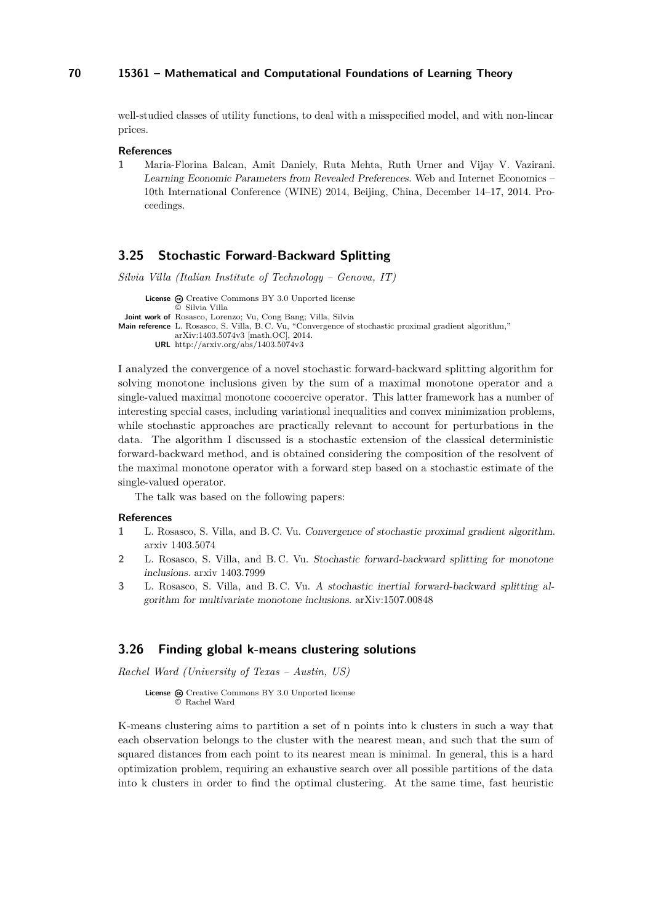well-studied classes of utility functions, to deal with a misspecified model, and with non-linear prices.

#### **References**

**1** Maria-Florina Balcan, Amit Daniely, Ruta Mehta, Ruth Urner and Vijay V. Vazirani. Learning Economic Parameters from Revealed Preferences. Web and Internet Economics – 10th International Conference (WINE) 2014, Beijing, China, December 14–17, 2014. Proceedings.

### <span id="page-16-0"></span>**3.25 Stochastic Forward-Backward Splitting**

*Silvia Villa (Italian Institute of Technology – Genova, IT)*

```
License \textcircled{c}Creative Commons BY 3.0 Unported license
               © Silvia Villa
 Joint work of Rosasco, Lorenzo; Vu, Cong Bang; Villa, Silvia
Main reference L. Rosasco, S. Villa, B. C. Vu, "Convergence of stochastic proximal gradient algorithm,"
               arXiv:1403.5074v3 [math.OC], 2014.
         URL http://arxiv.org/abs/1403.5074v3
```
I analyzed the convergence of a novel stochastic forward-backward splitting algorithm for solving monotone inclusions given by the sum of a maximal monotone operator and a single-valued maximal monotone cocoercive operator. This latter framework has a number of interesting special cases, including variational inequalities and convex minimization problems, while stochastic approaches are practically relevant to account for perturbations in the data. The algorithm I discussed is a stochastic extension of the classical deterministic forward-backward method, and is obtained considering the composition of the resolvent of the maximal monotone operator with a forward step based on a stochastic estimate of the single-valued operator.

The talk was based on the following papers:

#### **References**

- **1** L. Rosasco, S. Villa, and B. C. Vu. Convergence of stochastic proximal gradient algorithm. arxiv 1403.5074
- **2** L. Rosasco, S. Villa, and B. C. Vu. Stochastic forward-backward splitting for monotone inclusions. arxiv 1403.7999
- **3** L. Rosasco, S. Villa, and B. C. Vu. A stochastic inertial forward-backward splitting algorithm for multivariate monotone inclusions. arXiv:1507.00848

### <span id="page-16-1"></span>**3.26 Finding global k-means clustering solutions**

*Rachel Ward (University of Texas – Austin, US)*

```
License \textcircled{a}Creative Commons BY 3.0 Unported license
         © Rachel Ward
```
K-means clustering aims to partition a set of n points into k clusters in such a way that each observation belongs to the cluster with the nearest mean, and such that the sum of squared distances from each point to its nearest mean is minimal. In general, this is a hard optimization problem, requiring an exhaustive search over all possible partitions of the data into k clusters in order to find the optimal clustering. At the same time, fast heuristic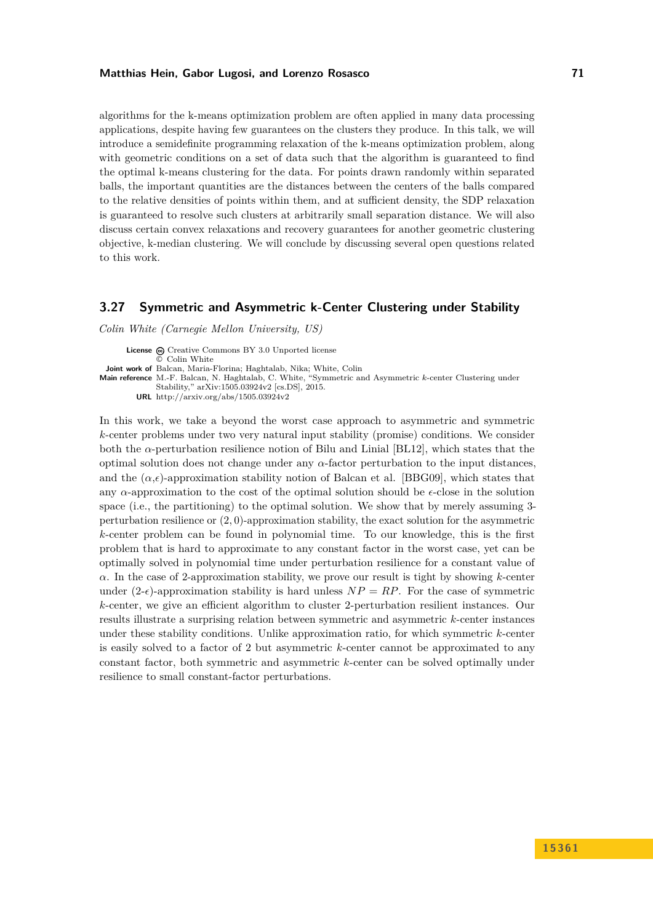algorithms for the k-means optimization problem are often applied in many data processing applications, despite having few guarantees on the clusters they produce. In this talk, we will introduce a semidefinite programming relaxation of the k-means optimization problem, along with geometric conditions on a set of data such that the algorithm is guaranteed to find the optimal k-means clustering for the data. For points drawn randomly within separated balls, the important quantities are the distances between the centers of the balls compared to the relative densities of points within them, and at sufficient density, the SDP relaxation is guaranteed to resolve such clusters at arbitrarily small separation distance. We will also discuss certain convex relaxations and recovery guarantees for another geometric clustering objective, k-median clustering. We will conclude by discussing several open questions related to this work.

### <span id="page-17-0"></span>**3.27 Symmetric and Asymmetric k-Center Clustering under Stability**

*Colin White (Carnegie Mellon University, US)*

License  $\textcircled{c}$  [Creative Commons BY 3.0 Unported](http://creativecommons.org/licenses/by/3.0/) license © [Colin White](#page-17-0) **Joint work of** Balcan, Maria-Florina; Haghtalab, Nika; White, Colin **Main reference** [M.-F. Balcan, N. Haghtalab, C. White, "Symmetric and Asymmetric](http://arxiv.org/abs/1505.03924v2) *k*-center Clustering under [Stability," arXiv:1505.03924v2 \[cs.DS\], 2015.](http://arxiv.org/abs/1505.03924v2) **URL** <http://arxiv.org/abs/1505.03924v2>

In this work, we take a beyond the worst case approach to asymmetric and symmetric *k*-center problems under two very natural input stability (promise) conditions. We consider both the *α*-perturbation resilience notion of Bilu and Linial [BL12], which states that the optimal solution does not change under any *α*-factor perturbation to the input distances, and the  $(\alpha,\epsilon)$ -approximation stability notion of Balcan et al. [BBG09], which states that any  $\alpha$ -approximation to the cost of the optimal solution should be  $\epsilon$ -close in the solution space (i.e., the partitioning) to the optimal solution. We show that by merely assuming 3 perturbation resilience or (2*,* 0)-approximation stability, the exact solution for the asymmetric *k*-center problem can be found in polynomial time. To our knowledge, this is the first problem that is hard to approximate to any constant factor in the worst case, yet can be optimally solved in polynomial time under perturbation resilience for a constant value of *α*. In the case of 2-approximation stability, we prove our result is tight by showing *k*-center under  $(2-\epsilon)$ -approximation stability is hard unless  $NP = RP$ . For the case of symmetric *k*-center, we give an efficient algorithm to cluster 2-perturbation resilient instances. Our results illustrate a surprising relation between symmetric and asymmetric *k*-center instances under these stability conditions. Unlike approximation ratio, for which symmetric *k*-center is easily solved to a factor of 2 but asymmetric *k*-center cannot be approximated to any constant factor, both symmetric and asymmetric *k*-center can be solved optimally under resilience to small constant-factor perturbations.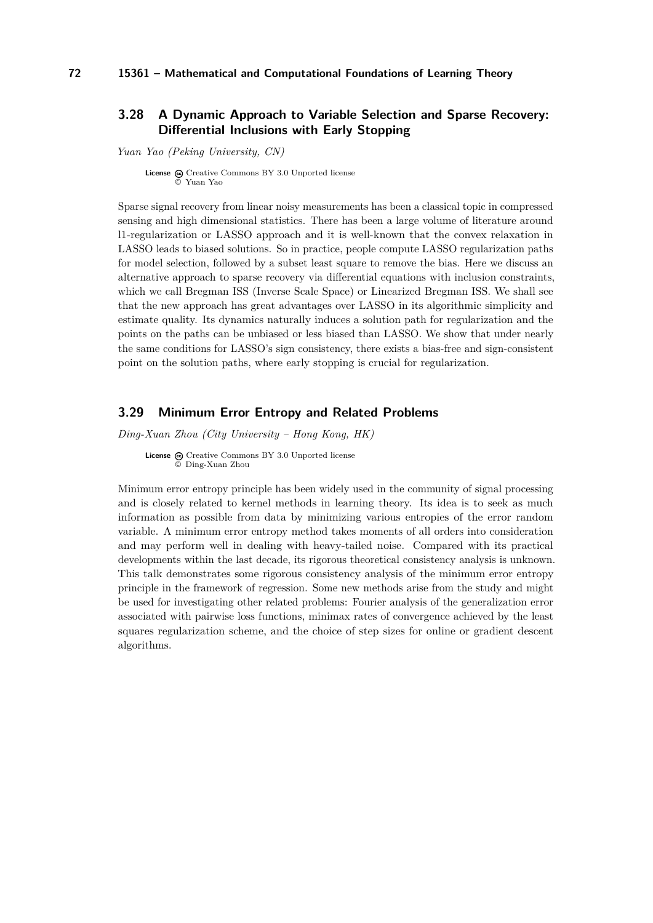### <span id="page-18-0"></span>**3.28 A Dynamic Approach to Variable Selection and Sparse Recovery: Differential Inclusions with Early Stopping**

*Yuan Yao (Peking University, CN)*

**License** @ [Creative Commons BY 3.0 Unported](http://creativecommons.org/licenses/by/3.0/) license © [Yuan Yao](#page-18-0)

Sparse signal recovery from linear noisy measurements has been a classical topic in compressed sensing and high dimensional statistics. There has been a large volume of literature around l1-regularization or LASSO approach and it is well-known that the convex relaxation in LASSO leads to biased solutions. So in practice, people compute LASSO regularization paths for model selection, followed by a subset least square to remove the bias. Here we discuss an alternative approach to sparse recovery via differential equations with inclusion constraints, which we call Bregman ISS (Inverse Scale Space) or Linearized Bregman ISS. We shall see that the new approach has great advantages over LASSO in its algorithmic simplicity and estimate quality. Its dynamics naturally induces a solution path for regularization and the points on the paths can be unbiased or less biased than LASSO. We show that under nearly the same conditions for LASSO's sign consistency, there exists a bias-free and sign-consistent point on the solution paths, where early stopping is crucial for regularization.

### <span id="page-18-1"></span>**3.29 Minimum Error Entropy and Related Problems**

*Ding-Xuan Zhou (City University – Hong Kong, HK)*

**License**  $\textcircled{c}$  [Creative Commons BY 3.0 Unported](http://creativecommons.org/licenses/by/3.0/) license © [Ding-Xuan Zhou](#page-18-1)

Minimum error entropy principle has been widely used in the community of signal processing and is closely related to kernel methods in learning theory. Its idea is to seek as much information as possible from data by minimizing various entropies of the error random variable. A minimum error entropy method takes moments of all orders into consideration and may perform well in dealing with heavy-tailed noise. Compared with its practical developments within the last decade, its rigorous theoretical consistency analysis is unknown. This talk demonstrates some rigorous consistency analysis of the minimum error entropy principle in the framework of regression. Some new methods arise from the study and might be used for investigating other related problems: Fourier analysis of the generalization error associated with pairwise loss functions, minimax rates of convergence achieved by the least squares regularization scheme, and the choice of step sizes for online or gradient descent algorithms.